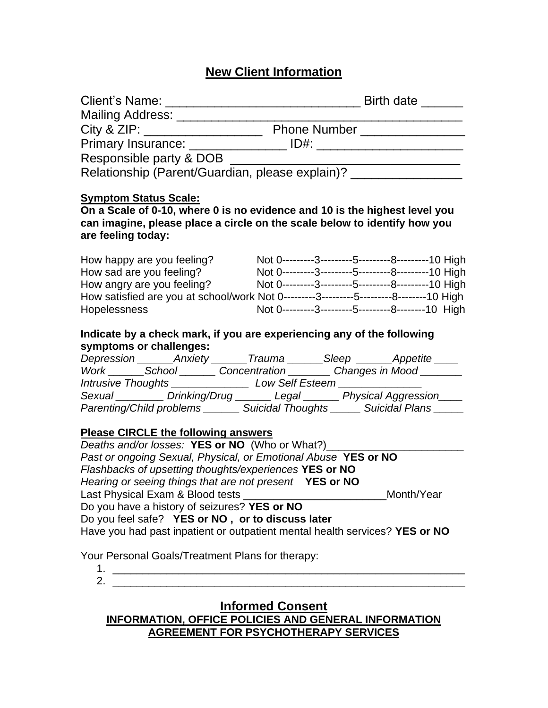# **New Client Information**

| Mailing Address: ________________                                |                                                                                         |  |
|------------------------------------------------------------------|-----------------------------------------------------------------------------------------|--|
|                                                                  |                                                                                         |  |
|                                                                  |                                                                                         |  |
| Responsible party & DOB                                          |                                                                                         |  |
|                                                                  | Relationship (Parent/Guardian, please explain)? _________________                       |  |
| <b>Symptom Status Scale:</b>                                     |                                                                                         |  |
|                                                                  | On a Scale of 0-10, where 0 is no evidence and 10 is the highest level you              |  |
| are feeling today:                                               | can imagine, please place a circle on the scale below to identify how you               |  |
| How happy are you feeling?                                       | Not 0---------3---------5---------8---------10 High                                     |  |
| How sad are you feeling?                                         | Not 0---------3---------5---------8---------10 High                                     |  |
| How angry are you feeling?                                       | Not 0---------3---------5---------8---------10 High                                     |  |
|                                                                  | How satisfied are you at school/work Not 0---------3---------5---------8--------10 High |  |
| <b>Hopelessness</b>                                              | Not 0---------3---------5---------8--------10 High                                      |  |
|                                                                  | Indicate by a check mark, if you are experiencing any of the following                  |  |
| symptoms or challenges:                                          |                                                                                         |  |
|                                                                  | Depression ________ Anxiety _______ Trauma _______ Sleep _______ Appetite _____         |  |
|                                                                  | Work _______School ________ Concentration ________ Changes in Mood _______              |  |
|                                                                  | Intrusive Thoughts _________________________ Low Self Esteem ___________________        |  |
|                                                                  | Sexual Drinking/Drug Legal Physical Aggression                                          |  |
|                                                                  | Parenting/Child problems ________ Suicidal Thoughts ______ Suicidal Plans ______        |  |
| <b>Please CIRCLE the following answers</b>                       |                                                                                         |  |
| Deaths and/or losses: YES or NO (Who or What?)_____              |                                                                                         |  |
|                                                                  | Past or ongoing Sexual, Physical, or Emotional Abuse YES or NO                          |  |
| Flashbacks of upsetting thoughts/experiences YES or NO           |                                                                                         |  |
| Hearing or seeing things that are not present YES or NO          |                                                                                         |  |
| Last Physical Exam & Blood tests                                 | Month/Year                                                                              |  |
| Do you have a history of seizures? YES or NO                     |                                                                                         |  |
| Do you feel safe? YES or NO, or to discuss later                 |                                                                                         |  |
|                                                                  | Have you had past inpatient or outpatient mental health services? YES or NO             |  |
| Your Personal Goals/Treatment Plans for therapy:                 |                                                                                         |  |
| 1.<br><u> 1980 - John Stein, mars and de Brazilian (b. 1980)</u> |                                                                                         |  |
|                                                                  |                                                                                         |  |

2. \_\_\_\_\_\_\_\_\_\_\_\_\_\_\_\_\_\_\_\_\_\_\_\_\_\_\_\_\_\_\_\_\_\_\_\_\_\_\_\_\_\_\_\_\_\_\_\_\_\_\_\_\_\_\_\_\_\_\_

# **Informed Consent INFORMATION, OFFICE POLICIES AND GENERAL INFORMATION AGREEMENT FOR PSYCHOTHERAPY SERVICES**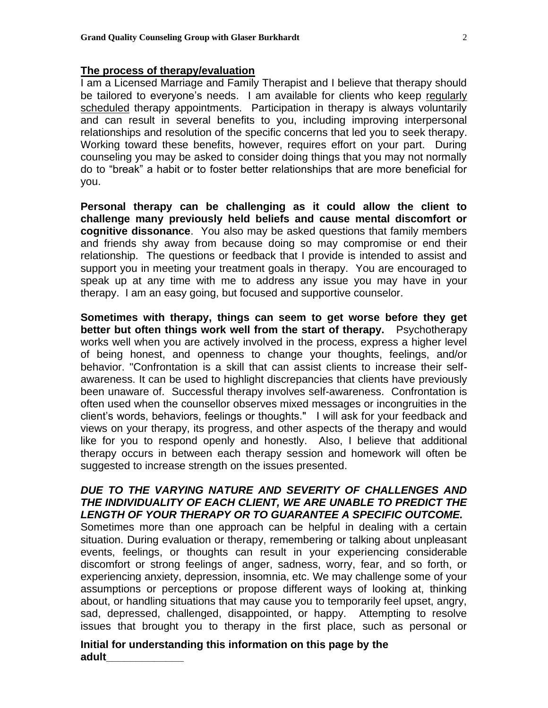#### **The process of therapy/evaluation**

I am a Licensed Marriage and Family Therapist and I believe that therapy should be tailored to everyone's needs. I am available for clients who keep regularly scheduled therapy appointments. Participation in therapy is always voluntarily and can result in several benefits to you, including improving interpersonal relationships and resolution of the specific concerns that led you to seek therapy. Working toward these benefits, however, requires effort on your part. During counseling you may be asked to consider doing things that you may not normally do to "break" a habit or to foster better relationships that are more beneficial for you.

**Personal therapy can be challenging as it could allow the client to challenge many previously held beliefs and cause mental discomfort or cognitive dissonance**. You also may be asked questions that family members and friends shy away from because doing so may compromise or end their relationship. The questions or feedback that I provide is intended to assist and support you in meeting your treatment goals in therapy. You are encouraged to speak up at any time with me to address any issue you may have in your therapy. I am an easy going, but focused and supportive counselor.

**Sometimes with therapy, things can seem to get worse before they get better but often things work well from the start of therapy.** Psychotherapy works well when you are actively involved in the process, express a higher level of being honest, and openness to change your thoughts, feelings, and/or behavior. "Confrontation is a skill that can assist clients to increase their selfawareness. It can be used to highlight discrepancies that clients have previously been unaware of. Successful therapy involves self-awareness. Confrontation is often used when the counsellor observes mixed messages or incongruities in the client's words, behaviors, feelings or thoughts." I will ask for your feedback and views on your therapy, its progress, and other aspects of the therapy and would like for you to respond openly and honestly. Also, I believe that additional therapy occurs in between each therapy session and homework will often be suggested to increase strength on the issues presented.

## *DUE TO THE VARYING NATURE AND SEVERITY OF CHALLENGES AND THE INDIVIDUALITY OF EACH CLIENT, WE ARE UNABLE TO PREDICT THE LENGTH OF YOUR THERAPY OR TO GUARANTEE A SPECIFIC OUTCOME.*

Sometimes more than one approach can be helpful in dealing with a certain situation. During evaluation or therapy, remembering or talking about unpleasant events, feelings, or thoughts can result in your experiencing considerable discomfort or strong feelings of anger, sadness, worry, fear, and so forth, or experiencing anxiety, depression, insomnia, etc. We may challenge some of your assumptions or perceptions or propose different ways of looking at, thinking about, or handling situations that may cause you to temporarily feel upset, angry, sad, depressed, challenged, disappointed, or happy. Attempting to resolve issues that brought you to therapy in the first place, such as personal or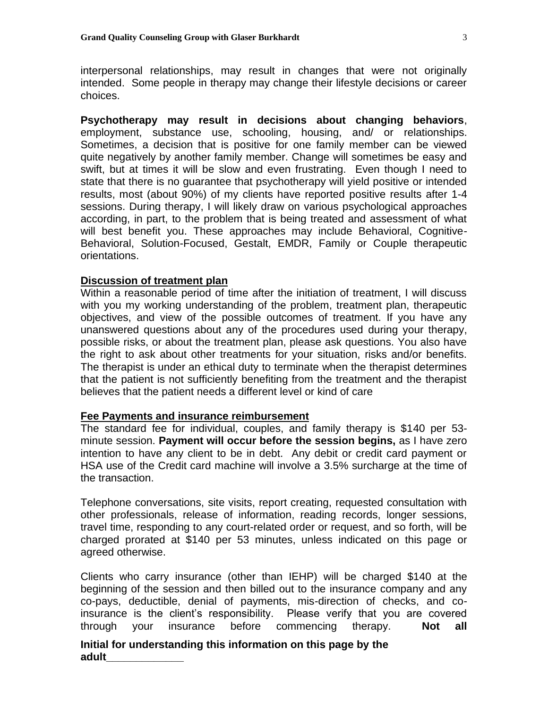interpersonal relationships, may result in changes that were not originally intended. Some people in therapy may change their lifestyle decisions or career choices.

**Psychotherapy may result in decisions about changing behaviors**, employment, substance use, schooling, housing, and/ or relationships. Sometimes, a decision that is positive for one family member can be viewed quite negatively by another family member. Change will sometimes be easy and swift, but at times it will be slow and even frustrating. Even though I need to state that there is no guarantee that psychotherapy will yield positive or intended results, most (about 90%) of my clients have reported positive results after 1-4 sessions. During therapy, I will likely draw on various psychological approaches according, in part, to the problem that is being treated and assessment of what will best benefit you. These approaches may include Behavioral, Cognitive-Behavioral, Solution-Focused, Gestalt, EMDR, Family or Couple therapeutic orientations.

#### **Discussion of treatment plan**

Within a reasonable period of time after the initiation of treatment, I will discuss with you my working understanding of the problem, treatment plan, therapeutic objectives, and view of the possible outcomes of treatment. If you have any unanswered questions about any of the procedures used during your therapy, possible risks, or about the treatment plan, please ask questions. You also have the right to ask about other treatments for your situation, risks and/or benefits. The therapist is under an ethical duty to terminate when the therapist determines that the patient is not sufficiently benefiting from the treatment and the therapist believes that the patient needs a different level or kind of care

#### **Fee Payments and insurance reimbursement**

The standard fee for individual, couples, and family therapy is \$140 per 53 minute session. **Payment will occur before the session begins,** as I have zero intention to have any client to be in debt. Any debit or credit card payment or HSA use of the Credit card machine will involve a 3.5% surcharge at the time of the transaction.

Telephone conversations, site visits, report creating, requested consultation with other professionals, release of information, reading records, longer sessions, travel time, responding to any court-related order or request, and so forth, will be charged prorated at \$140 per 53 minutes, unless indicated on this page or agreed otherwise.

Clients who carry insurance (other than IEHP) will be charged \$140 at the beginning of the session and then billed out to the insurance company and any co-pays, deductible, denial of payments, mis-direction of checks, and coinsurance is the client's responsibility. Please verify that you are covered through your insurance before commencing therapy. **Not all**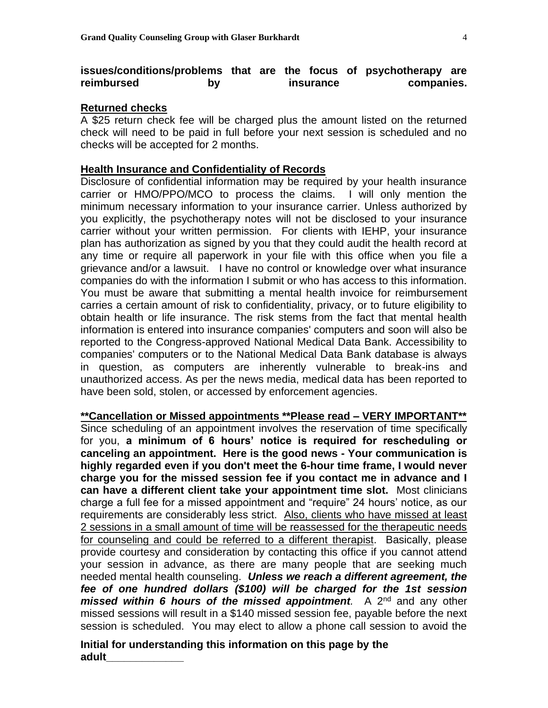## **issues/conditions/problems that are the focus of psychotherapy are reimbursed by insurance companies.**

#### **Returned checks**

A \$25 return check fee will be charged plus the amount listed on the returned check will need to be paid in full before your next session is scheduled and no checks will be accepted for 2 months.

#### **Health Insurance and Confidentiality of Records**

Disclosure of confidential information may be required by your health insurance carrier or HMO/PPO/MCO to process the claims. I will only mention the minimum necessary information to your insurance carrier. Unless authorized by you explicitly, the psychotherapy notes will not be disclosed to your insurance carrier without your written permission. For clients with IEHP, your insurance plan has authorization as signed by you that they could audit the health record at any time or require all paperwork in your file with this office when you file a grievance and/or a lawsuit. I have no control or knowledge over what insurance companies do with the information I submit or who has access to this information. You must be aware that submitting a mental health invoice for reimbursement carries a certain amount of risk to confidentiality, privacy, or to future eligibility to obtain health or life insurance. The risk stems from the fact that mental health information is entered into insurance companies' computers and soon will also be reported to the Congress-approved National Medical Data Bank. Accessibility to companies' computers or to the National Medical Data Bank database is always in question, as computers are inherently vulnerable to break-ins and unauthorized access. As per the news media, medical data has been reported to have been sold, stolen, or accessed by enforcement agencies.

**\*\*Cancellation or Missed appointments \*\*Please read – VERY IMPORTANT\*\*** Since scheduling of an appointment involves the reservation of time specifically for you, **a minimum of 6 hours' notice is required for rescheduling or canceling an appointment. Here is the good news - Your communication is highly regarded even if you don't meet the 6-hour time frame, I would never charge you for the missed session fee if you contact me in advance and I can have a different client take your appointment time slot.** Most clinicians charge a full fee for a missed appointment and "require" 24 hours' notice, as our requirements are considerably less strict. Also, clients who have missed at least 2 sessions in a small amount of time will be reassessed for the therapeutic needs for counseling and could be referred to a different therapist. Basically, please provide courtesy and consideration by contacting this office if you cannot attend your session in advance, as there are many people that are seeking much needed mental health counseling. *Unless we reach a different agreement, the fee of one hundred dollars (\$100) will be charged for the 1st session missed within 6 hours of the missed appointment.* A 2<sup>nd</sup> and any other missed sessions will result in a \$140 missed session fee, payable before the next session is scheduled. You may elect to allow a phone call session to avoid the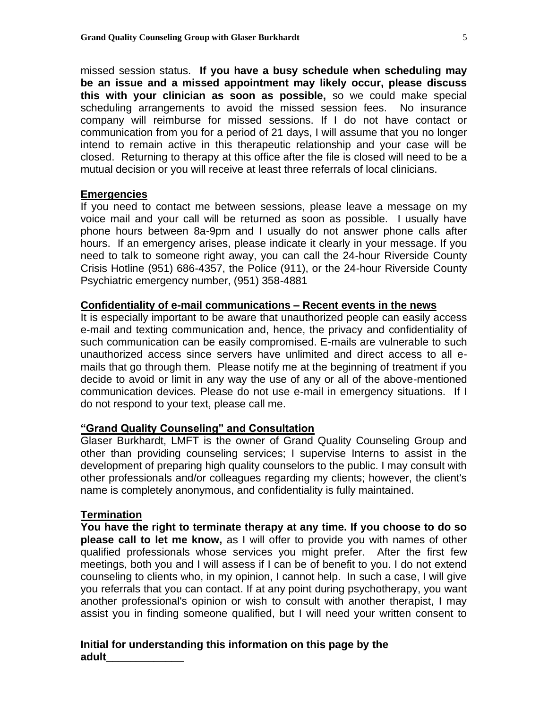missed session status. **If you have a busy schedule when scheduling may be an issue and a missed appointment may likely occur, please discuss this with your clinician as soon as possible,** so we could make special scheduling arrangements to avoid the missed session fees. No insurance company will reimburse for missed sessions. If I do not have contact or communication from you for a period of 21 days, I will assume that you no longer intend to remain active in this therapeutic relationship and your case will be closed. Returning to therapy at this office after the file is closed will need to be a mutual decision or you will receive at least three referrals of local clinicians.

#### **Emergencies**

If you need to contact me between sessions, please leave a message on my voice mail and your call will be returned as soon as possible. I usually have phone hours between 8a-9pm and I usually do not answer phone calls after hours. If an emergency arises, please indicate it clearly in your message. If you need to talk to someone right away, you can call the 24-hour Riverside County Crisis Hotline (951) 686-4357, the Police (911), or the 24-hour Riverside County Psychiatric emergency number, (951) 358-4881

## **Confidentiality of e-mail communications – Recent events in the news**

It is especially important to be aware that unauthorized people can easily access e-mail and texting communication and, hence, the privacy and confidentiality of such communication can be easily compromised. E-mails are vulnerable to such unauthorized access since servers have unlimited and direct access to all emails that go through them. Please notify me at the beginning of treatment if you decide to avoid or limit in any way the use of any or all of the above-mentioned communication devices. Please do not use e-mail in emergency situations. If I do not respond to your text, please call me.

#### **"Grand Quality Counseling" and Consultation**

Glaser Burkhardt, LMFT is the owner of Grand Quality Counseling Group and other than providing counseling services; I supervise Interns to assist in the development of preparing high quality counselors to the public. I may consult with other professionals and/or colleagues regarding my clients; however, the client's name is completely anonymous, and confidentiality is fully maintained.

#### **Termination**

**You have the right to terminate therapy at any time. If you choose to do so please call to let me know,** as I will offer to provide you with names of other qualified professionals whose services you might prefer. After the first few meetings, both you and I will assess if I can be of benefit to you. I do not extend counseling to clients who, in my opinion, I cannot help. In such a case, I will give you referrals that you can contact. If at any point during psychotherapy, you want another professional's opinion or wish to consult with another therapist, I may assist you in finding someone qualified, but I will need your written consent to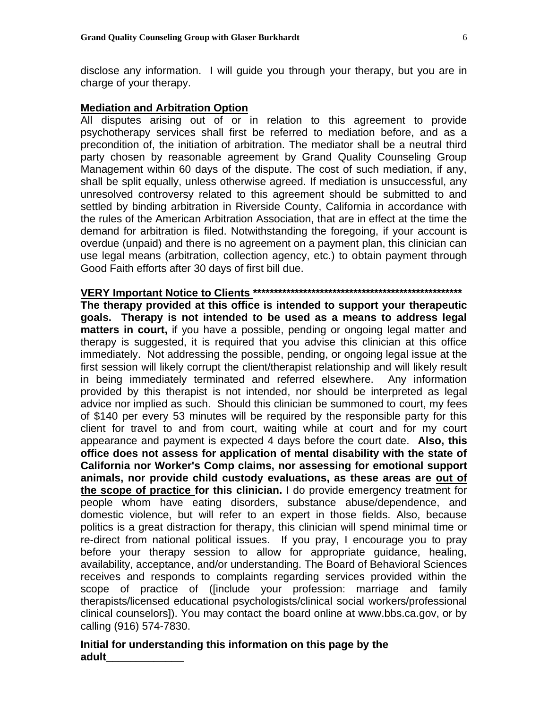disclose any information. I will guide you through your therapy, but you are in charge of your therapy.

## **Mediation and Arbitration Option**

All disputes arising out of or in relation to this agreement to provide psychotherapy services shall first be referred to mediation before, and as a precondition of, the initiation of arbitration. The mediator shall be a neutral third party chosen by reasonable agreement by Grand Quality Counseling Group Management within 60 days of the dispute. The cost of such mediation, if any, shall be split equally, unless otherwise agreed. If mediation is unsuccessful, any unresolved controversy related to this agreement should be submitted to and settled by binding arbitration in Riverside County, California in accordance with the rules of the American Arbitration Association, that are in effect at the time the demand for arbitration is filed. Notwithstanding the foregoing, if your account is overdue (unpaid) and there is no agreement on a payment plan, this clinician can use legal means (arbitration, collection agency, etc.) to obtain payment through Good Faith efforts after 30 days of first bill due.

# **VERY Important Notice to Clients \*\*\*\*\*\*\*\*\*\*\*\*\*\*\*\*\*\*\*\*\*\*\*\*\*\*\*\*\*\*\*\*\*\*\*\*\*\*\*\*\*\*\*\*\*\*\*\*\*\***

**The therapy provided at this office is intended to support your therapeutic goals. Therapy is not intended to be used as a means to address legal matters in court,** if you have a possible, pending or ongoing legal matter and therapy is suggested, it is required that you advise this clinician at this office immediately. Not addressing the possible, pending, or ongoing legal issue at the first session will likely corrupt the client/therapist relationship and will likely result in being immediately terminated and referred elsewhere. Any information provided by this therapist is not intended, nor should be interpreted as legal advice nor implied as such. Should this clinician be summoned to court, my fees of \$140 per every 53 minutes will be required by the responsible party for this client for travel to and from court, waiting while at court and for my court appearance and payment is expected 4 days before the court date. **Also, this office does not assess for application of mental disability with the state of California nor Worker's Comp claims, nor assessing for emotional support animals, nor provide child custody evaluations, as these areas are out of the scope of practice for this clinician.** I do provide emergency treatment for people whom have eating disorders, substance abuse/dependence, and domestic violence, but will refer to an expert in those fields. Also, because politics is a great distraction for therapy, this clinician will spend minimal time or re-direct from national political issues. If you pray, I encourage you to pray before your therapy session to allow for appropriate guidance, healing, availability, acceptance, and/or understanding. The Board of Behavioral Sciences receives and responds to complaints regarding services provided within the scope of practice of ([include your profession: marriage and family therapists/licensed educational psychologists/clinical social workers/professional clinical counselors]). You may contact the board online at www.bbs.ca.gov, or by calling (916) 574-7830.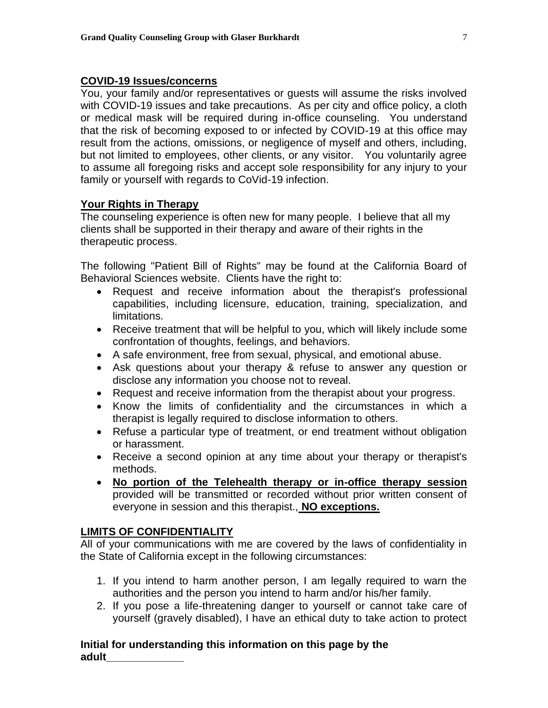## **COVID-19 Issues/concerns**

You, your family and/or representatives or guests will assume the risks involved with COVID-19 issues and take precautions. As per city and office policy, a cloth or medical mask will be required during in-office counseling. You understand that the risk of becoming exposed to or infected by COVID-19 at this office may result from the actions, omissions, or negligence of myself and others, including, but not limited to employees, other clients, or any visitor. You voluntarily agree to assume all foregoing risks and accept sole responsibility for any injury to your family or yourself with regards to CoVid-19 infection.

## **Your Rights in Therapy**

The counseling experience is often new for many people. I believe that all my clients shall be supported in their therapy and aware of their rights in the therapeutic process.

The following "Patient Bill of Rights" may be found at the California Board of Behavioral Sciences website. Clients have the right to:

- Request and receive information about the therapist's professional capabilities, including licensure, education, training, specialization, and limitations.
- Receive treatment that will be helpful to you, which will likely include some confrontation of thoughts, feelings, and behaviors.
- A safe environment, free from sexual, physical, and emotional abuse.
- Ask questions about your therapy & refuse to answer any question or disclose any information you choose not to reveal.
- Request and receive information from the therapist about your progress.
- Know the limits of confidentiality and the circumstances in which a therapist is legally required to disclose information to others.
- Refuse a particular type of treatment, or end treatment without obligation or harassment.
- Receive a second opinion at any time about your therapy or therapist's methods.
- **No portion of the Telehealth therapy or in-office therapy session**  provided will be transmitted or recorded without prior written consent of everyone in session and this therapist., **NO exceptions.**

## **LIMITS OF CONFIDENTIALITY**

All of your communications with me are covered by the laws of confidentiality in the State of California except in the following circumstances:

- 1. If you intend to harm another person, I am legally required to warn the authorities and the person you intend to harm and/or his/her family.
- 2. If you pose a life-threatening danger to yourself or cannot take care of yourself (gravely disabled), I have an ethical duty to take action to protect